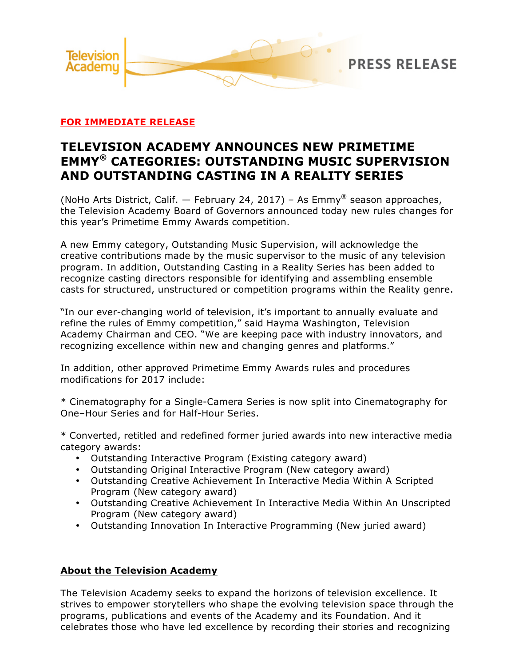

## **FOR IMMEDIATE RELEASE**

## **TELEVISION ACADEMY ANNOUNCES NEW PRIMETIME EMMY® CATEGORIES: OUTSTANDING MUSIC SUPERVISION AND OUTSTANDING CASTING IN A REALITY SERIES**

(NoHo Arts District, Calif.  $-$  February 24, 2017) - As Emmy<sup>®</sup> season approaches, the Television Academy Board of Governors announced today new rules changes for this year's Primetime Emmy Awards competition.

A new Emmy category, Outstanding Music Supervision, will acknowledge the creative contributions made by the music supervisor to the music of any television program. In addition, Outstanding Casting in a Reality Series has been added to recognize casting directors responsible for identifying and assembling ensemble casts for structured, unstructured or competition programs within the Reality genre.

"In our ever-changing world of television, it's important to annually evaluate and refine the rules of Emmy competition," said Hayma Washington, Television Academy Chairman and CEO. "We are keeping pace with industry innovators, and recognizing excellence within new and changing genres and platforms."

In addition, other approved Primetime Emmy Awards rules and procedures modifications for 2017 include:

\* Cinematography for a Single-Camera Series is now split into Cinematography for One–Hour Series and for Half-Hour Series.

\* Converted, retitled and redefined former juried awards into new interactive media category awards:

- Outstanding Interactive Program (Existing category award)
- Outstanding Original Interactive Program (New category award)
- Outstanding Creative Achievement In Interactive Media Within A Scripted Program (New category award)
- Outstanding Creative Achievement In Interactive Media Within An Unscripted Program (New category award)
- Outstanding Innovation In Interactive Programming (New juried award)

## **About the Television Academy**

The Television Academy seeks to expand the horizons of television excellence. It strives to empower storytellers who shape the evolving television space through the programs, publications and events of the Academy and its Foundation. And it celebrates those who have led excellence by recording their stories and recognizing